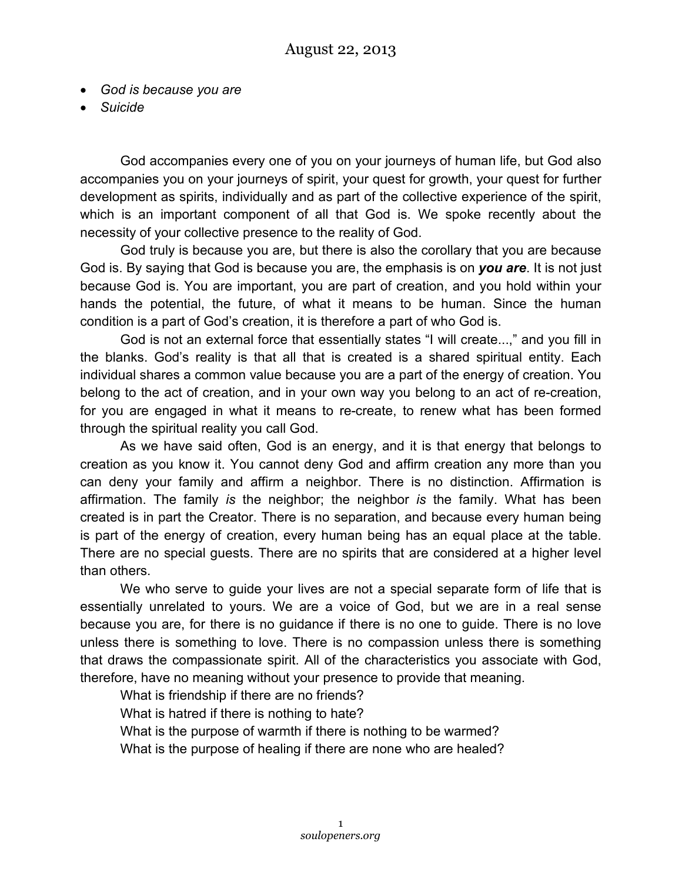- *God is because you are*
- *Suicide*

God accompanies every one of you on your journeys of human life, but God also accompanies you on your journeys of spirit, your quest for growth, your quest for further development as spirits, individually and as part of the collective experience of the spirit, which is an important component of all that God is. We spoke recently about the necessity of your collective presence to the reality of God.

God truly is because you are, but there is also the corollary that you are because God is. By saying that God is because you are, the emphasis is on *you are*. It is not just because God is. You are important, you are part of creation, and you hold within your hands the potential, the future, of what it means to be human. Since the human condition is a part of God's creation, it is therefore a part of who God is.

God is not an external force that essentially states "I will create...," and you fill in the blanks. God's reality is that all that is created is a shared spiritual entity. Each individual shares a common value because you are a part of the energy of creation. You belong to the act of creation, and in your own way you belong to an act of re-creation, for you are engaged in what it means to re-create, to renew what has been formed through the spiritual reality you call God.

As we have said often, God is an energy, and it is that energy that belongs to creation as you know it. You cannot deny God and affirm creation any more than you can deny your family and affirm a neighbor. There is no distinction. Affirmation is affirmation. The family *is* the neighbor; the neighbor *is* the family. What has been created is in part the Creator. There is no separation, and because every human being is part of the energy of creation, every human being has an equal place at the table. There are no special guests. There are no spirits that are considered at a higher level than others.

We who serve to guide your lives are not a special separate form of life that is essentially unrelated to yours. We are a voice of God, but we are in a real sense because you are, for there is no guidance if there is no one to guide. There is no love unless there is something to love. There is no compassion unless there is something that draws the compassionate spirit. All of the characteristics you associate with God, therefore, have no meaning without your presence to provide that meaning.

What is friendship if there are no friends?

What is hatred if there is nothing to hate?

What is the purpose of warmth if there is nothing to be warmed?

What is the purpose of healing if there are none who are healed?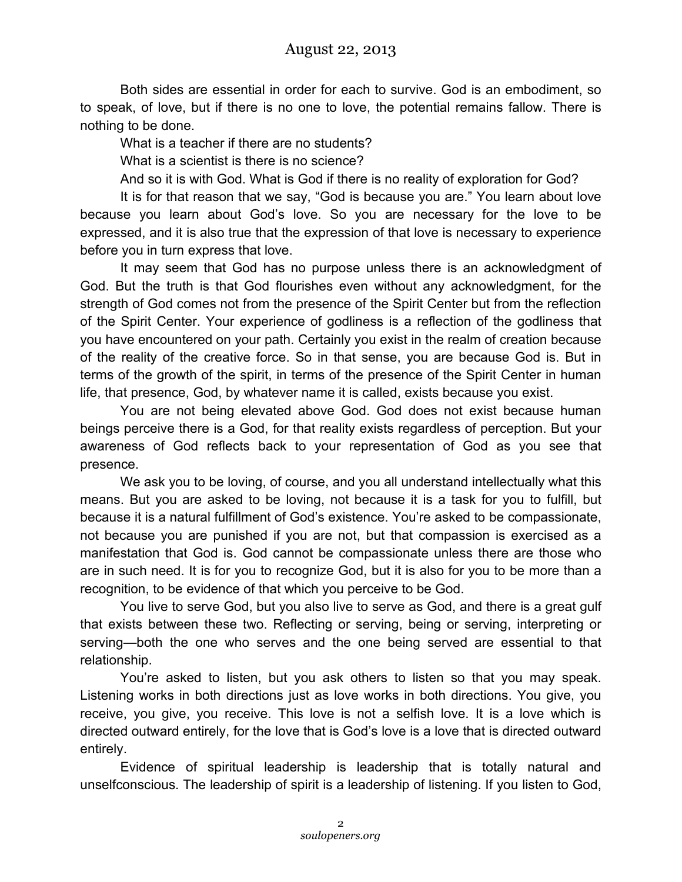Both sides are essential in order for each to survive. God is an embodiment, so to speak, of love, but if there is no one to love, the potential remains fallow. There is nothing to be done.

What is a teacher if there are no students?

What is a scientist is there is no science?

And so it is with God. What is God if there is no reality of exploration for God?

It is for that reason that we say, "God is because you are." You learn about love because you learn about God's love. So you are necessary for the love to be expressed, and it is also true that the expression of that love is necessary to experience before you in turn express that love.

It may seem that God has no purpose unless there is an acknowledgment of God. But the truth is that God flourishes even without any acknowledgment, for the strength of God comes not from the presence of the Spirit Center but from the reflection of the Spirit Center. Your experience of godliness is a reflection of the godliness that you have encountered on your path. Certainly you exist in the realm of creation because of the reality of the creative force. So in that sense, you are because God is. But in terms of the growth of the spirit, in terms of the presence of the Spirit Center in human life, that presence, God, by whatever name it is called, exists because you exist.

You are not being elevated above God. God does not exist because human beings perceive there is a God, for that reality exists regardless of perception. But your awareness of God reflects back to your representation of God as you see that presence.

We ask you to be loving, of course, and you all understand intellectually what this means. But you are asked to be loving, not because it is a task for you to fulfill, but because it is a natural fulfillment of God's existence. You're asked to be compassionate, not because you are punished if you are not, but that compassion is exercised as a manifestation that God is. God cannot be compassionate unless there are those who are in such need. It is for you to recognize God, but it is also for you to be more than a recognition, to be evidence of that which you perceive to be God.

You live to serve God, but you also live to serve as God, and there is a great gulf that exists between these two. Reflecting or serving, being or serving, interpreting or serving—both the one who serves and the one being served are essential to that relationship.

You're asked to listen, but you ask others to listen so that you may speak. Listening works in both directions just as love works in both directions. You give, you receive, you give, you receive. This love is not a selfish love. It is a love which is directed outward entirely, for the love that is God's love is a love that is directed outward entirely.

Evidence of spiritual leadership is leadership that is totally natural and unselfconscious. The leadership of spirit is a leadership of listening. If you listen to God,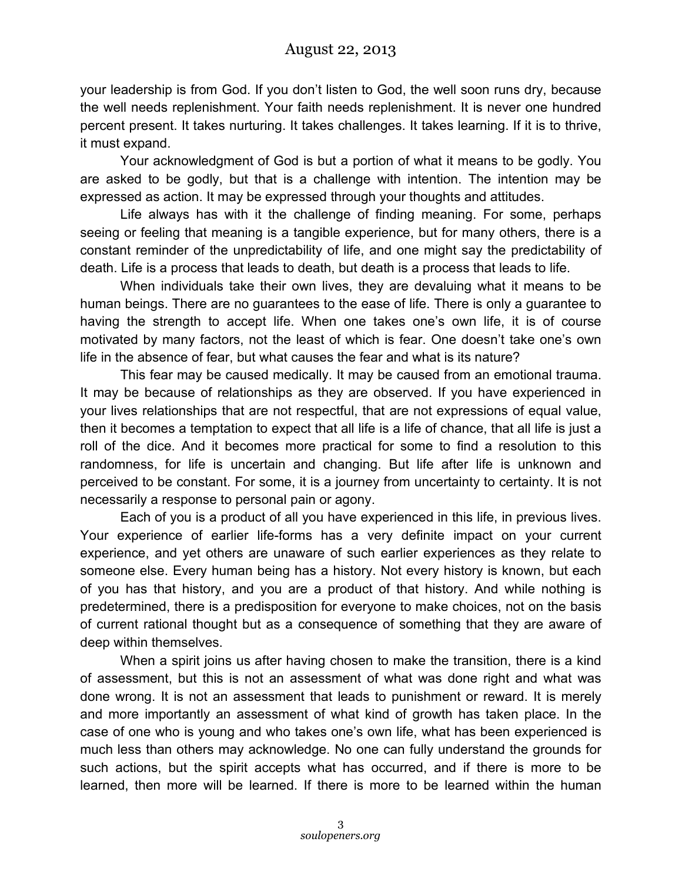your leadership is from God. If you don't listen to God, the well soon runs dry, because the well needs replenishment. Your faith needs replenishment. It is never one hundred percent present. It takes nurturing. It takes challenges. It takes learning. If it is to thrive, it must expand.

Your acknowledgment of God is but a portion of what it means to be godly. You are asked to be godly, but that is a challenge with intention. The intention may be expressed as action. It may be expressed through your thoughts and attitudes.

Life always has with it the challenge of finding meaning. For some, perhaps seeing or feeling that meaning is a tangible experience, but for many others, there is a constant reminder of the unpredictability of life, and one might say the predictability of death. Life is a process that leads to death, but death is a process that leads to life.

When individuals take their own lives, they are devaluing what it means to be human beings. There are no guarantees to the ease of life. There is only a guarantee to having the strength to accept life. When one takes one's own life, it is of course motivated by many factors, not the least of which is fear. One doesn't take one's own life in the absence of fear, but what causes the fear and what is its nature?

This fear may be caused medically. It may be caused from an emotional trauma. It may be because of relationships as they are observed. If you have experienced in your lives relationships that are not respectful, that are not expressions of equal value, then it becomes a temptation to expect that all life is a life of chance, that all life is just a roll of the dice. And it becomes more practical for some to find a resolution to this randomness, for life is uncertain and changing. But life after life is unknown and perceived to be constant. For some, it is a journey from uncertainty to certainty. It is not necessarily a response to personal pain or agony.

Each of you is a product of all you have experienced in this life, in previous lives. Your experience of earlier life-forms has a very definite impact on your current experience, and yet others are unaware of such earlier experiences as they relate to someone else. Every human being has a history. Not every history is known, but each of you has that history, and you are a product of that history. And while nothing is predetermined, there is a predisposition for everyone to make choices, not on the basis of current rational thought but as a consequence of something that they are aware of deep within themselves.

When a spirit joins us after having chosen to make the transition, there is a kind of assessment, but this is not an assessment of what was done right and what was done wrong. It is not an assessment that leads to punishment or reward. It is merely and more importantly an assessment of what kind of growth has taken place. In the case of one who is young and who takes one's own life, what has been experienced is much less than others may acknowledge. No one can fully understand the grounds for such actions, but the spirit accepts what has occurred, and if there is more to be learned, then more will be learned. If there is more to be learned within the human